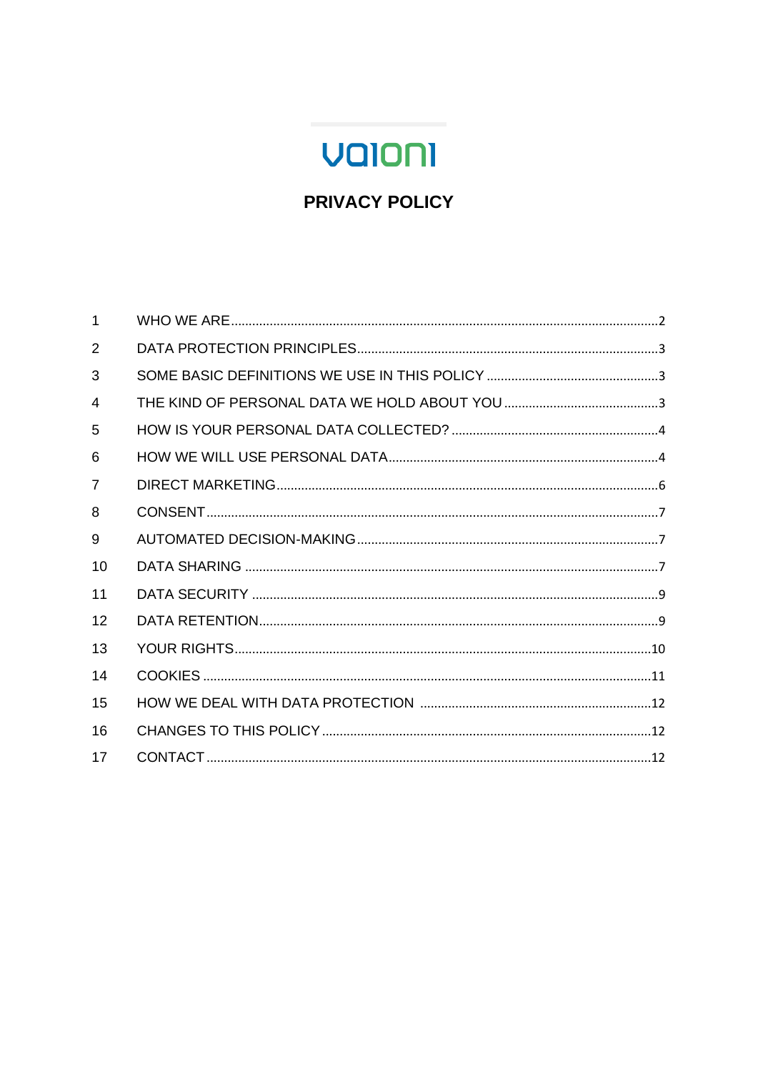# Valoni

# **PRIVACY POLICY**

| $\mathbf{1}$   |  |
|----------------|--|
| $\overline{2}$ |  |
| 3              |  |
| 4              |  |
| 5              |  |
| 6              |  |
| $\overline{7}$ |  |
| 8              |  |
| 9              |  |
| 10             |  |
| 11             |  |
| 12             |  |
| 13             |  |
| 14             |  |
| 15             |  |
| 16             |  |
| 17             |  |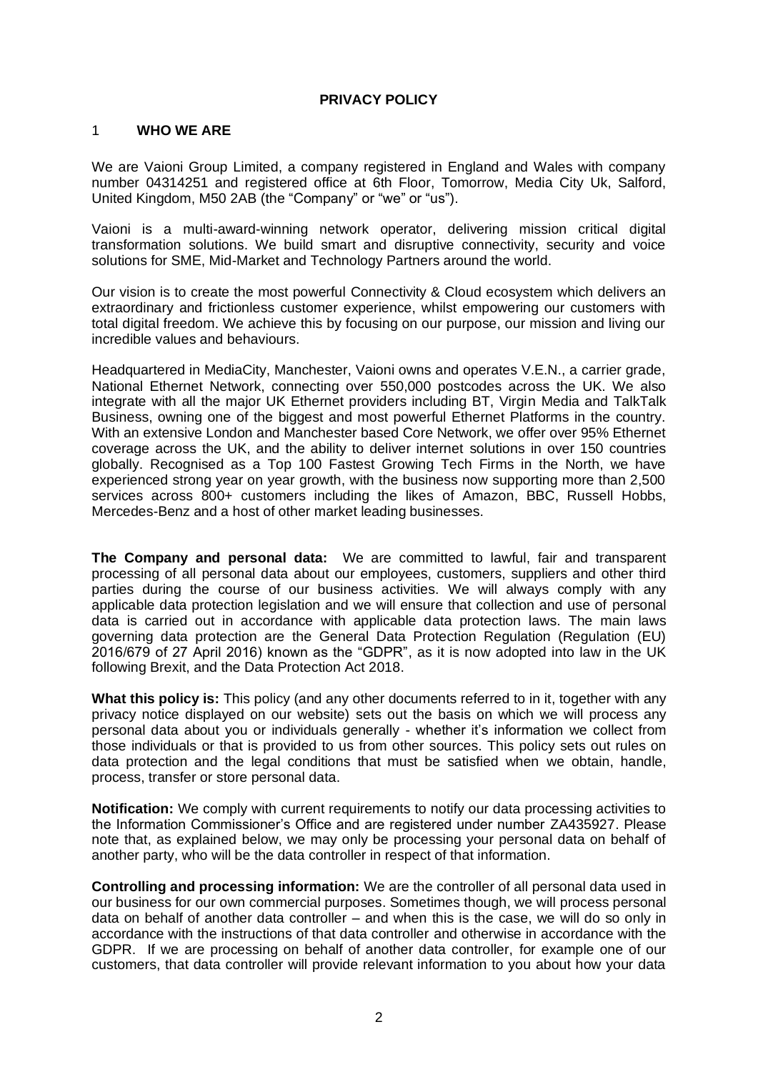# **PRIVACY POLICY**

#### <span id="page-1-0"></span>1 **WHO WE ARE**

We are Vaioni Group Limited, a company registered in England and Wales with company number 04314251 and registered office at 6th Floor, Tomorrow, Media City Uk, Salford, United Kingdom, M50 2AB (the "Company" or "we" or "us").

Vaioni is a multi-award-winning network operator, delivering mission critical digital transformation solutions. We build smart and disruptive connectivity, security and voice solutions for SME, Mid-Market and Technology Partners around the world.

Our vision is to create the most powerful Connectivity & Cloud ecosystem which delivers an extraordinary and frictionless customer experience, whilst empowering our customers with total digital freedom. We achieve this by focusing on our purpose, our mission and living our incredible values and behaviours.

Headquartered in MediaCity, Manchester, Vaioni owns and operates V.E.N., a carrier grade, National Ethernet Network, connecting over 550,000 postcodes across the UK. We also integrate with all the major UK Ethernet providers including BT, Virgin Media and TalkTalk Business, owning one of the biggest and most powerful Ethernet Platforms in the country. With an extensive London and Manchester based Core Network, we offer over 95% Ethernet coverage across the UK, and the ability to deliver internet solutions in over 150 countries globally. Recognised as a Top 100 Fastest Growing Tech Firms in the North, we have experienced strong year on year growth, with the business now supporting more than 2,500 services across 800+ customers including the likes of Amazon, BBC, Russell Hobbs, Mercedes-Benz and a host of other market leading businesses.

**The Company and personal data:** We are committed to lawful, fair and transparent processing of all personal data about our employees, customers, suppliers and other third parties during the course of our business activities. We will always comply with any applicable data protection legislation and we will ensure that collection and use of personal data is carried out in accordance with applicable data protection laws. The main laws governing data protection are the General Data Protection Regulation (Regulation (EU) 2016/679 of 27 April 2016) known as the "GDPR", as it is now adopted into law in the UK following Brexit, and the Data Protection Act 2018.

**What this policy is:** This policy (and any other documents referred to in it, together with any privacy notice displayed on our website) sets out the basis on which we will process any personal data about you or individuals generally - whether it's information we collect from those individuals or that is provided to us from other sources. This policy sets out rules on data protection and the legal conditions that must be satisfied when we obtain, handle, process, transfer or store personal data.

**Notification:** We comply with current requirements to notify our data processing activities to the Information Commissioner's Office and are registered under number ZA435927. Please note that, as explained below, we may only be processing your personal data on behalf of another party, who will be the data controller in respect of that information.

**Controlling and processing information:** We are the controller of all personal data used in our business for our own commercial purposes. Sometimes though, we will process personal data on behalf of another data controller – and when this is the case, we will do so only in accordance with the instructions of that data controller and otherwise in accordance with the GDPR. If we are processing on behalf of another data controller, for example one of our customers, that data controller will provide relevant information to you about how your data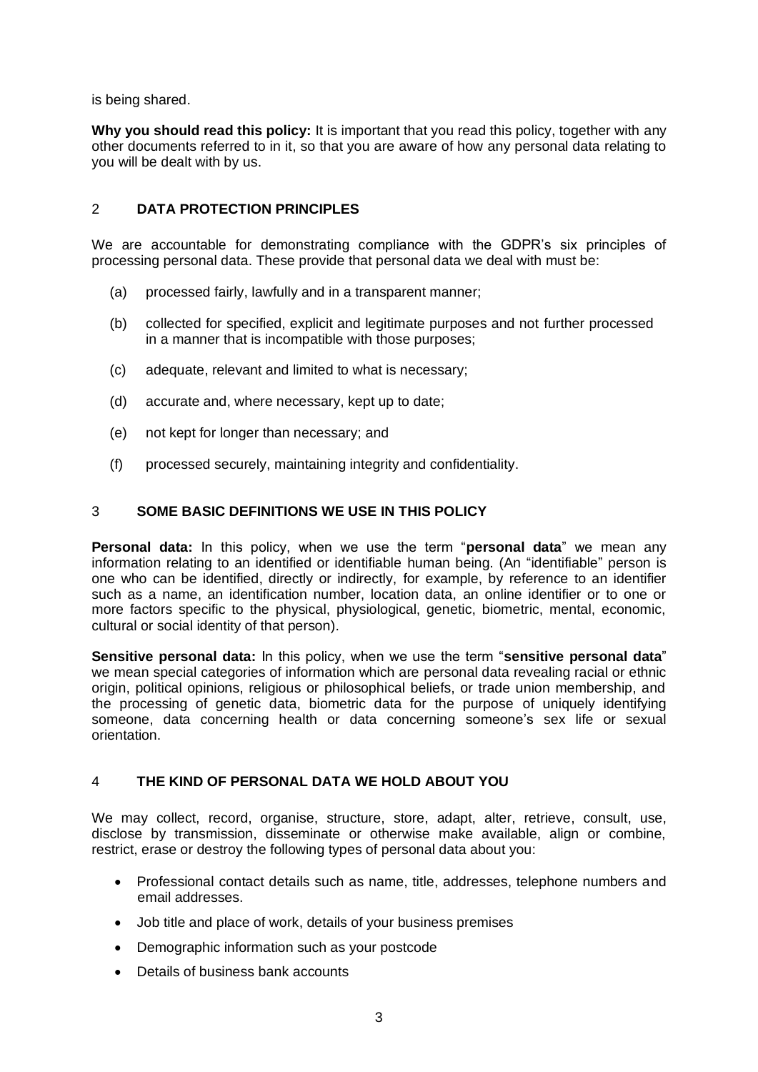is being shared.

**Why you should read this policy:** It is important that you read this policy, together with any other documents referred to in it, so that you are aware of how any personal data relating to you will be dealt with by us.

# <span id="page-2-0"></span>2 **DATA PROTECTION PRINCIPLES**

We are accountable for demonstrating compliance with the GDPR's six principles of processing personal data. These provide that personal data we deal with must be:

- (a) processed fairly, lawfully and in a transparent manner;
- (b) collected for specified, explicit and legitimate purposes and not further processed in a manner that is incompatible with those purposes;
- (c) adequate, relevant and limited to what is necessary;
- (d) accurate and, where necessary, kept up to date;
- (e) not kept for longer than necessary; and
- (f) processed securely, maintaining integrity and confidentiality.

# <span id="page-2-1"></span>3 **SOME BASIC DEFINITIONS WE USE IN THIS POLICY**

**Personal data:** In this policy, when we use the term "**personal data**" we mean any information relating to an identified or identifiable human being. (An "identifiable" person is one who can be identified, directly or indirectly, for example, by reference to an identifier such as a name, an identification number, location data, an online identifier or to one or more factors specific to the physical, physiological, genetic, biometric, mental, economic, cultural or social identity of that person).

**Sensitive personal data:** In this policy, when we use the term "**sensitive personal data**" we mean special categories of information which are personal data revealing racial or ethnic origin, political opinions, religious or philosophical beliefs, or trade union membership, and the processing of genetic data, biometric data for the purpose of uniquely identifying someone, data concerning health or data concerning someone's sex life or sexual orientation.

#### <span id="page-2-2"></span>4 **THE KIND OF PERSONAL DATA WE HOLD ABOUT YOU**

We may collect, record, organise, structure, store, adapt, alter, retrieve, consult, use, disclose by transmission, disseminate or otherwise make available, align or combine, restrict, erase or destroy the following types of personal data about you:

- Professional contact details such as name, title, addresses, telephone numbers and email addresses.
- Job title and place of work, details of your business premises
- Demographic information such as your postcode
- Details of business bank accounts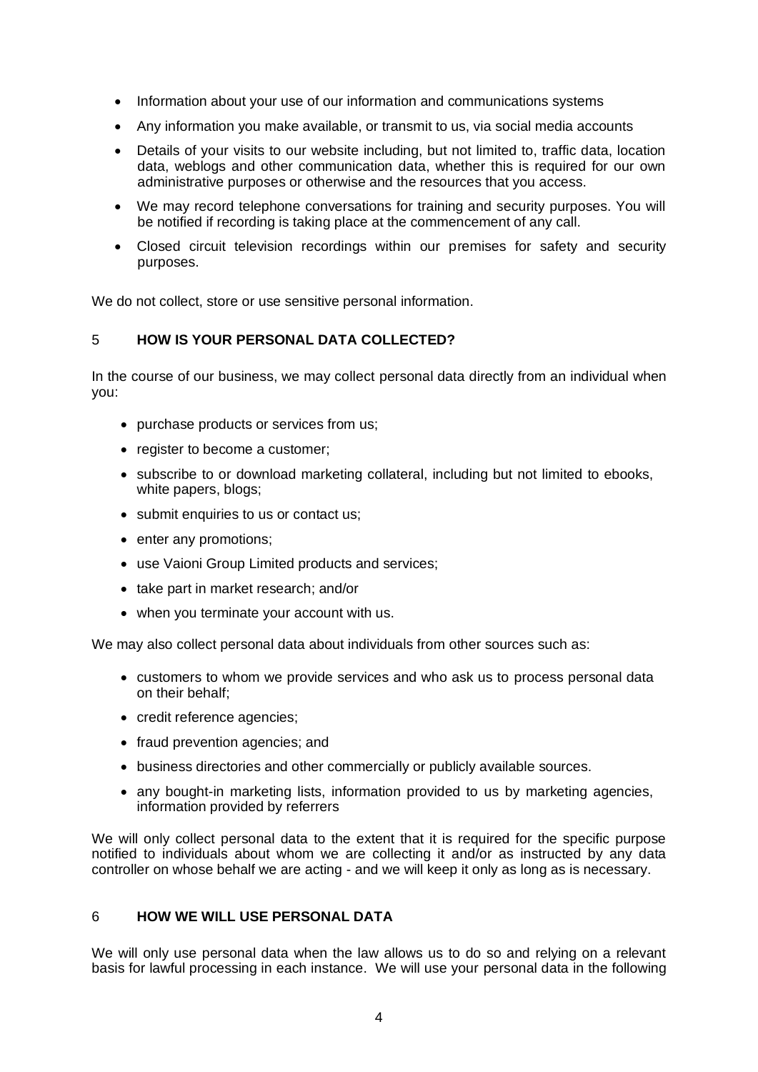- Information about your use of our information and communications systems
- Any information you make available, or transmit to us, via social media accounts
- Details of your visits to our website including, but not limited to, traffic data, location data, weblogs and other communication data, whether this is required for our own administrative purposes or otherwise and the resources that you access.
- We may record telephone conversations for training and security purposes. You will be notified if recording is taking place at the commencement of any call.
- Closed circuit television recordings within our premises for safety and security purposes.

We do not collect, store or use sensitive personal information.

#### <span id="page-3-0"></span>5 **HOW IS YOUR PERSONAL DATA COLLECTED?**

In the course of our business, we may collect personal data directly from an individual when you:

- purchase products or services from us;
- register to become a customer;
- subscribe to or download marketing collateral, including but not limited to ebooks, white papers, blogs;
- submit enquiries to us or contact us;
- enter any promotions;
- use Vaioni Group Limited products and services;
- take part in market research; and/or
- when you terminate your account with us.

We may also collect personal data about individuals from other sources such as:

- customers to whom we provide services and who ask us to process personal data on their behalf;
- credit reference agencies;
- fraud prevention agencies; and
- business directories and other commercially or publicly available sources.
- any bought-in marketing lists, information provided to us by marketing agencies, information provided by referrers

We will only collect personal data to the extent that it is required for the specific purpose notified to individuals about whom we are collecting it and/or as instructed by any data controller on whose behalf we are acting - and we will keep it only as long as is necessary.

# <span id="page-3-1"></span>6 **HOW WE WILL USE PERSONAL DATA**

We will only use personal data when the law allows us to do so and relying on a relevant basis for lawful processing in each instance. We will use your personal data in the following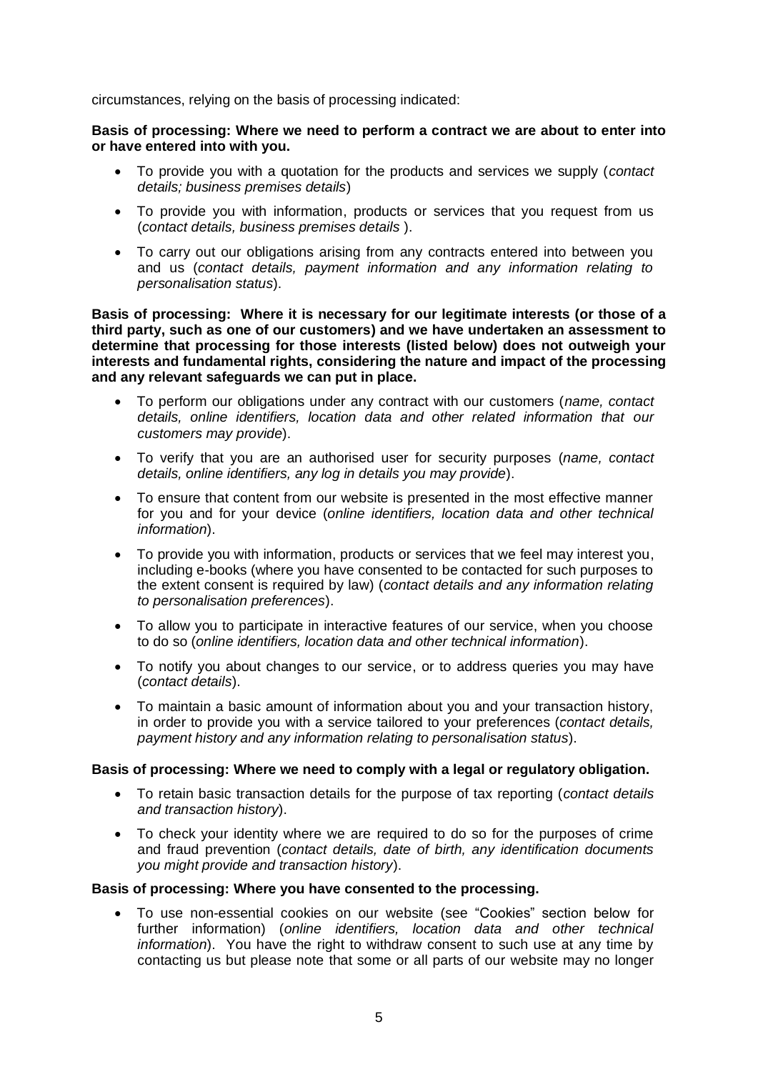circumstances, relying on the basis of processing indicated:

#### **Basis of processing: Where we need to perform a contract we are about to enter into or have entered into with you.**

- To provide you with a quotation for the products and services we supply (*contact details; business premises details*)
- To provide you with information, products or services that you request from us (*contact details, business premises details* ).
- To carry out our obligations arising from any contracts entered into between you and us (*contact details, payment information and any information relating to personalisation status*).

**Basis of processing: Where it is necessary for our legitimate interests (or those of a third party, such as one of our customers) and we have undertaken an assessment to determine that processing for those interests (listed below) does not outweigh your interests and fundamental rights, considering the nature and impact of the processing and any relevant safeguards we can put in place.**

- To perform our obligations under any contract with our customers (*name, contact details, online identifiers, location data and other related information that our customers may provide*).
- To verify that you are an authorised user for security purposes (*name, contact details, online identifiers, any log in details you may provide*).
- To ensure that content from our website is presented in the most effective manner for you and for your device (*online identifiers, location data and other technical information*).
- To provide you with information, products or services that we feel may interest you, including e-books (where you have consented to be contacted for such purposes to the extent consent is required by law) (*contact details and any information relating to personalisation preferences*).
- To allow you to participate in interactive features of our service, when you choose to do so (*online identifiers, location data and other technical information*).
- To notify you about changes to our service, or to address queries you may have (*contact details*).
- To maintain a basic amount of information about you and your transaction history, in order to provide you with a service tailored to your preferences (*contact details, payment history and any information relating to personalisation status*).

# **Basis of processing: Where we need to comply with a legal or regulatory obligation.**

- To retain basic transaction details for the purpose of tax reporting (*contact details and transaction history*).
- To check your identity where we are required to do so for the purposes of crime and fraud prevention (*contact details, date of birth, any identification documents you might provide and transaction history*).

#### **Basis of processing: Where you have consented to the processing.**

• To use non-essential cookies on our website (see "Cookies" section below for further information) (*online identifiers, location data and other technical information*). You have the right to withdraw consent to such use at any time by contacting us but please note that some or all parts of our website may no longer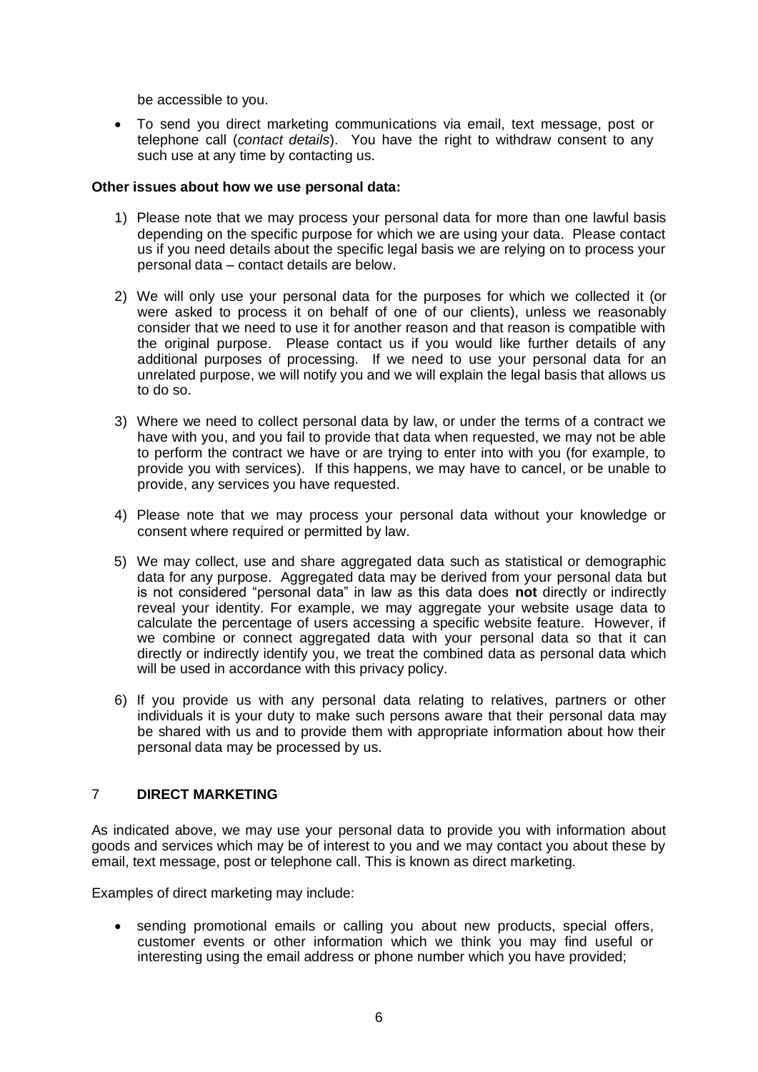be accessible to you.

• To send you direct marketing communications via email, text message, post or telephone call (*contact details*). You have the right to withdraw consent to any such use at any time by contacting us.

#### **Other issues about how we use personal data:**

- 1) Please note that we may process your personal data for more than one lawful basis depending on the specific purpose for which we are using your data. Please contact us if you need details about the specific legal basis we are relying on to process your personal data – contact details are below.
- 2) We will only use your personal data for the purposes for which we collected it (or were asked to process it on behalf of one of our clients), unless we reasonably consider that we need to use it for another reason and that reason is compatible with the original purpose. Please contact us if you would like further details of any additional purposes of processing. If we need to use your personal data for an unrelated purpose, we will notify you and we will explain the legal basis that allows us to do so.
- 3) Where we need to collect personal data by law, or under the terms of a contract we have with you, and you fail to provide that data when requested, we may not be able to perform the contract we have or are trying to enter into with you (for example, to provide you with services). If this happens, we may have to cancel, or be unable to provide, any services you have requested.
- 4) Please note that we may process your personal data without your knowledge or consent where required or permitted by law.
- 5) We may collect, use and share aggregated data such as statistical or demographic data for any purpose. Aggregated data may be derived from your personal data but is not considered "personal data" in law as this data does **not** directly or indirectly reveal your identity. For example, we may aggregate your website usage data to calculate the percentage of users accessing a specific website feature. However, if we combine or connect aggregated data with your personal data so that it can directly or indirectly identify you, we treat the combined data as personal data which will be used in accordance with this privacy policy.
- 6) If you provide us with any personal data relating to relatives, partners or other individuals it is your duty to make such persons aware that their personal data may be shared with us and to provide them with appropriate information about how their personal data may be processed by us.

# <span id="page-5-0"></span>7 **DIRECT MARKETING**

As indicated above, we may use your personal data to provide you with information about goods and services which may be of interest to you and we may contact you about these by email, text message, post or telephone call. This is known as direct marketing.

Examples of direct marketing may include:

• sending promotional emails or calling you about new products, special offers, customer events or other information which we think you may find useful or interesting using the email address or phone number which you have provided;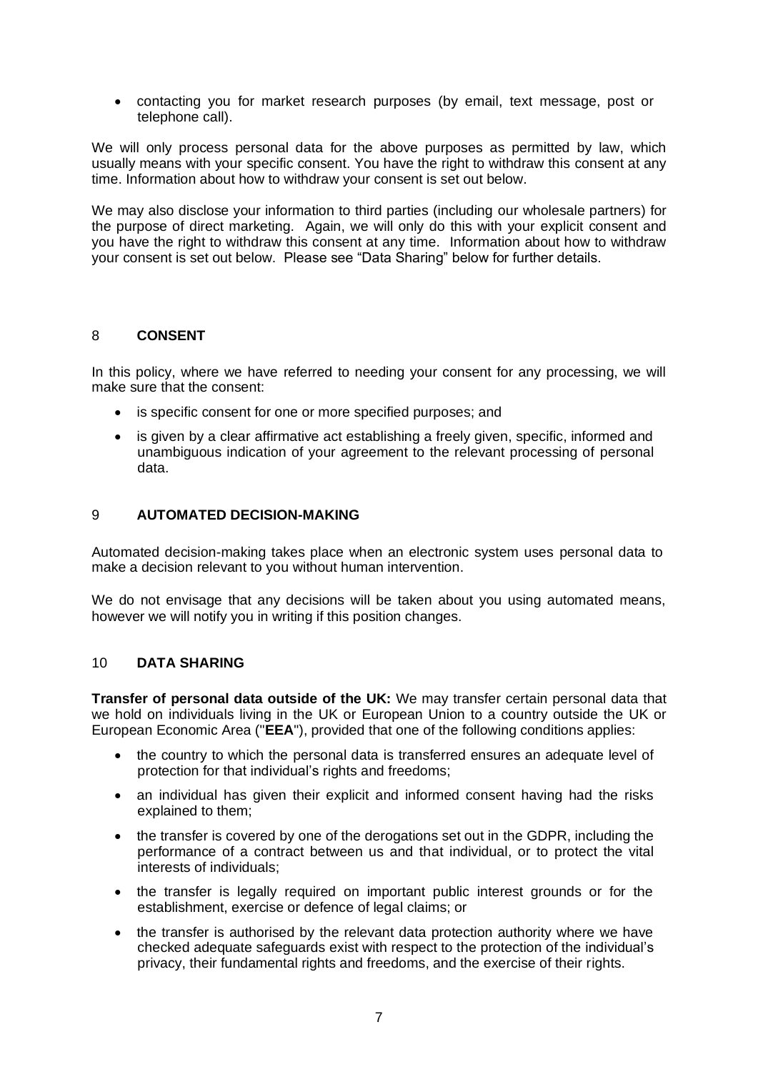• contacting you for market research purposes (by email, text message, post or telephone call).

We will only process personal data for the above purposes as permitted by law, which usually means with your specific consent. You have the right to withdraw this consent at any time. Information about how to withdraw your consent is set out below.

We may also disclose your information to third parties (including our wholesale partners) for the purpose of direct marketing. Again, we will only do this with your explicit consent and you have the right to withdraw this consent at any time. Information about how to withdraw your consent is set out below. Please see "Data Sharing" below for further details.

#### <span id="page-6-0"></span>8 **CONSENT**

In this policy, where we have referred to needing your consent for any processing, we will make sure that the consent:

- is specific consent for one or more specified purposes; and
- is given by a clear affirmative act establishing a freely given, specific, informed and unambiguous indication of your agreement to the relevant processing of personal data.

#### <span id="page-6-1"></span>9 **AUTOMATED DECISION-MAKING**

Automated decision-making takes place when an electronic system uses personal data to make a decision relevant to you without human intervention.

We do not envisage that any decisions will be taken about you using automated means, however we will notify you in writing if this position changes.

#### <span id="page-6-2"></span>10 **DATA SHARING**

**Transfer of personal data outside of the UK:** We may transfer certain personal data that we hold on individuals living in the UK or European Union to a country outside the UK or European Economic Area ("**EEA**"), provided that one of the following conditions applies:

- the country to which the personal data is transferred ensures an adequate level of protection for that individual's rights and freedoms;
- an individual has given their explicit and informed consent having had the risks explained to them;
- the transfer is covered by one of the derogations set out in the GDPR, including the performance of a contract between us and that individual, or to protect the vital interests of individuals;
- the transfer is legally required on important public interest grounds or for the establishment, exercise or defence of legal claims; or
- the transfer is authorised by the relevant data protection authority where we have checked adequate safeguards exist with respect to the protection of the individual's privacy, their fundamental rights and freedoms, and the exercise of their rights.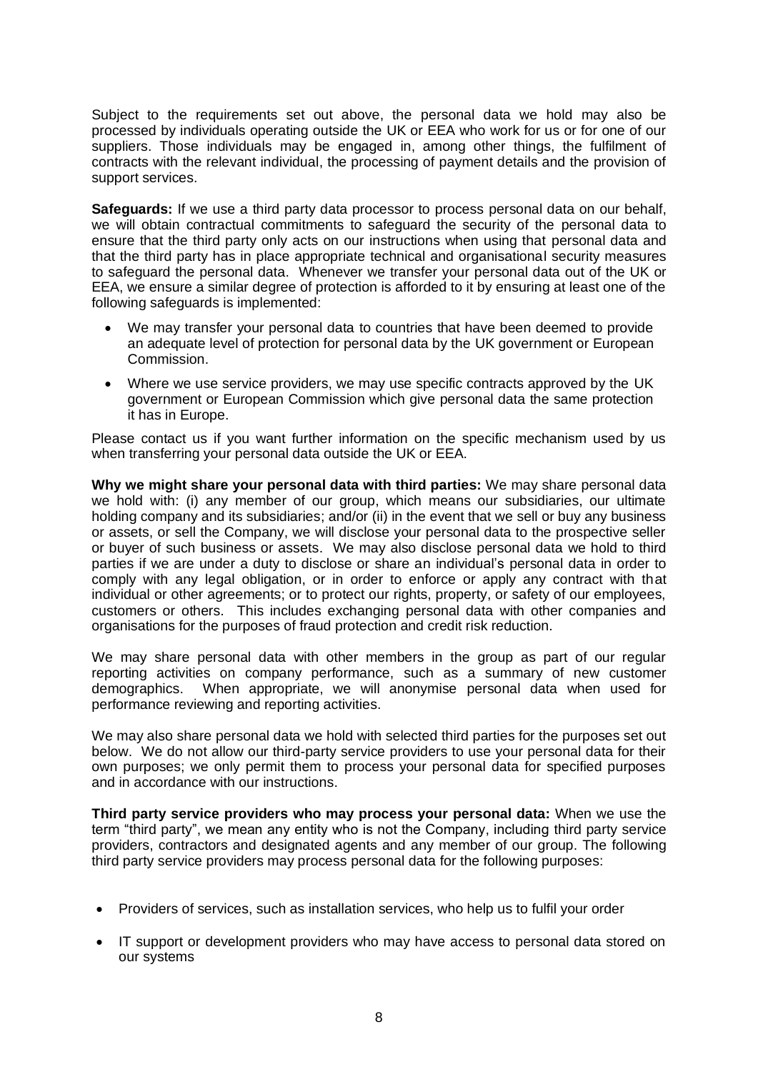Subject to the requirements set out above, the personal data we hold may also be processed by individuals operating outside the UK or EEA who work for us or for one of our suppliers. Those individuals may be engaged in, among other things, the fulfilment of contracts with the relevant individual, the processing of payment details and the provision of support services.

**Safeguards:** If we use a third party data processor to process personal data on our behalf, we will obtain contractual commitments to safeguard the security of the personal data to ensure that the third party only acts on our instructions when using that personal data and that the third party has in place appropriate technical and organisational security measures to safeguard the personal data. Whenever we transfer your personal data out of the UK or EEA, we ensure a similar degree of protection is afforded to it by ensuring at least one of the following safeguards is implemented:

- We may transfer your personal data to countries that have been deemed to provide an adequate level of protection for personal data by the UK government or European Commission.
- Where we use service providers, we may use specific contracts approved by the UK government or European Commission which give personal data the same protection it has in Europe.

Please contact us if you want further information on the specific mechanism used by us when transferring your personal data outside the UK or EEA.

**Why we might share your personal data with third parties:** We may share personal data we hold with: (i) any member of our group, which means our subsidiaries, our ultimate holding company and its subsidiaries; and/or (ii) in the event that we sell or buy any business or assets, or sell the Company, we will disclose your personal data to the prospective seller or buyer of such business or assets. We may also disclose personal data we hold to third parties if we are under a duty to disclose or share an individual's personal data in order to comply with any legal obligation, or in order to enforce or apply any contract with that individual or other agreements; or to protect our rights, property, or safety of our employees, customers or others. This includes exchanging personal data with other companies and organisations for the purposes of fraud protection and credit risk reduction.

We may share personal data with other members in the group as part of our regular reporting activities on company performance, such as a summary of new customer demographics. When appropriate, we will anonymise personal data when used for performance reviewing and reporting activities.

We may also share personal data we hold with selected third parties for the purposes set out below. We do not allow our third-party service providers to use your personal data for their own purposes; we only permit them to process your personal data for specified purposes and in accordance with our instructions.

**Third party service providers who may process your personal data:** When we use the term "third party", we mean any entity who is not the Company, including third party service providers, contractors and designated agents and any member of our group. The following third party service providers may process personal data for the following purposes:

- Providers of services, such as installation services, who help us to fulfil your order
- IT support or development providers who may have access to personal data stored on our systems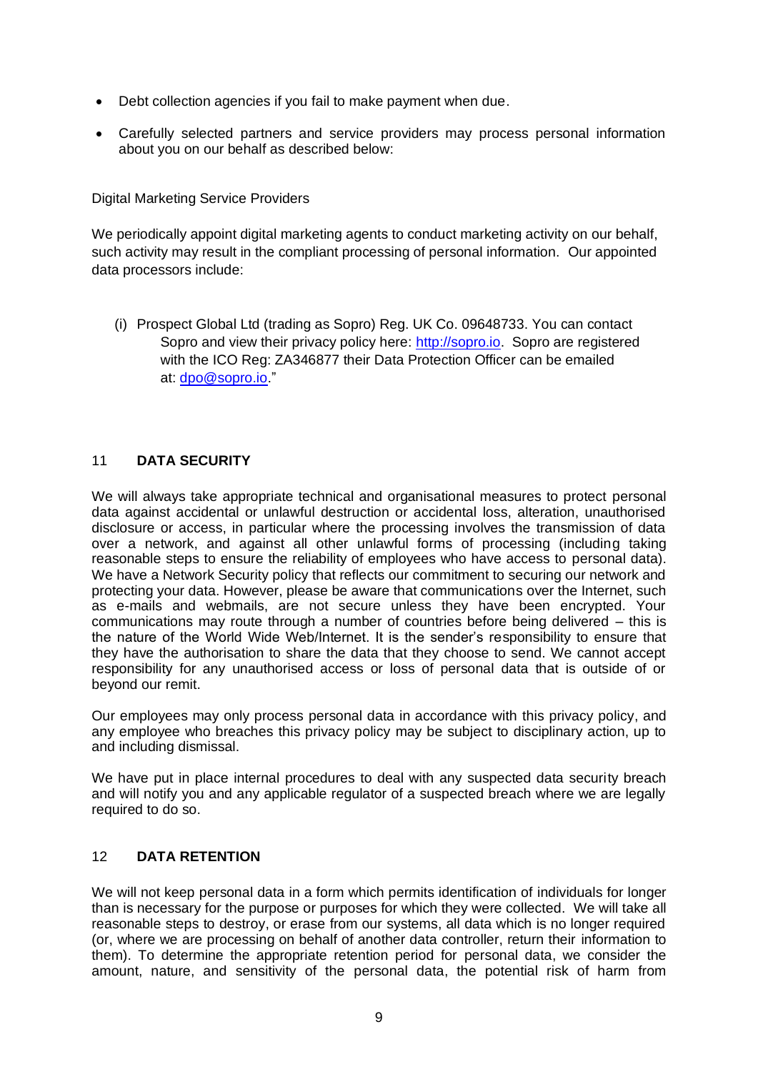- Debt collection agencies if you fail to make payment when due.
- Carefully selected partners and service providers may process personal information about you on our behalf as described below:

Digital Marketing Service Providers

We periodically appoint digital marketing agents to conduct marketing activity on our behalf. such activity may result in the compliant processing of personal information. Our appointed data processors include:

(i) Prospect Global Ltd (trading as Sopro) Reg. UK Co. 09648733. You can contact Sopro and view their privacy policy here: [http://sopro.io.](http://sopro.io/) Sopro are registered with the ICO Reg: ZA346877 their Data Protection Officer can be emailed at: [dpo@sopro.io.](mailto:dpo@sopro.io)"

# <span id="page-8-0"></span>11 **DATA SECURITY**

We will always take appropriate technical and organisational measures to protect personal data against accidental or unlawful destruction or accidental loss, alteration, unauthorised disclosure or access, in particular where the processing involves the transmission of data over a network, and against all other unlawful forms of processing (including taking reasonable steps to ensure the reliability of employees who have access to personal data). We have a Network Security policy that reflects our commitment to securing our network and protecting your data. However, please be aware that communications over the Internet, such as e-mails and webmails, are not secure unless they have been encrypted. Your communications may route through a number of countries before being delivered – this is the nature of the World Wide Web/Internet. It is the sender's responsibility to ensure that they have the authorisation to share the data that they choose to send. We cannot accept responsibility for any unauthorised access or loss of personal data that is outside of or beyond our remit.

Our employees may only process personal data in accordance with this privacy policy, and any employee who breaches this privacy policy may be subject to disciplinary action, up to and including dismissal.

We have put in place internal procedures to deal with any suspected data security breach and will notify you and any applicable regulator of a suspected breach where we are legally required to do so.

# <span id="page-8-1"></span>12 **DATA RETENTION**

We will not keep personal data in a form which permits identification of individuals for longer than is necessary for the purpose or purposes for which they were collected. We will take all reasonable steps to destroy, or erase from our systems, all data which is no longer required (or, where we are processing on behalf of another data controller, return their information to them). To determine the appropriate retention period for personal data, we consider the amount, nature, and sensitivity of the personal data, the potential risk of harm from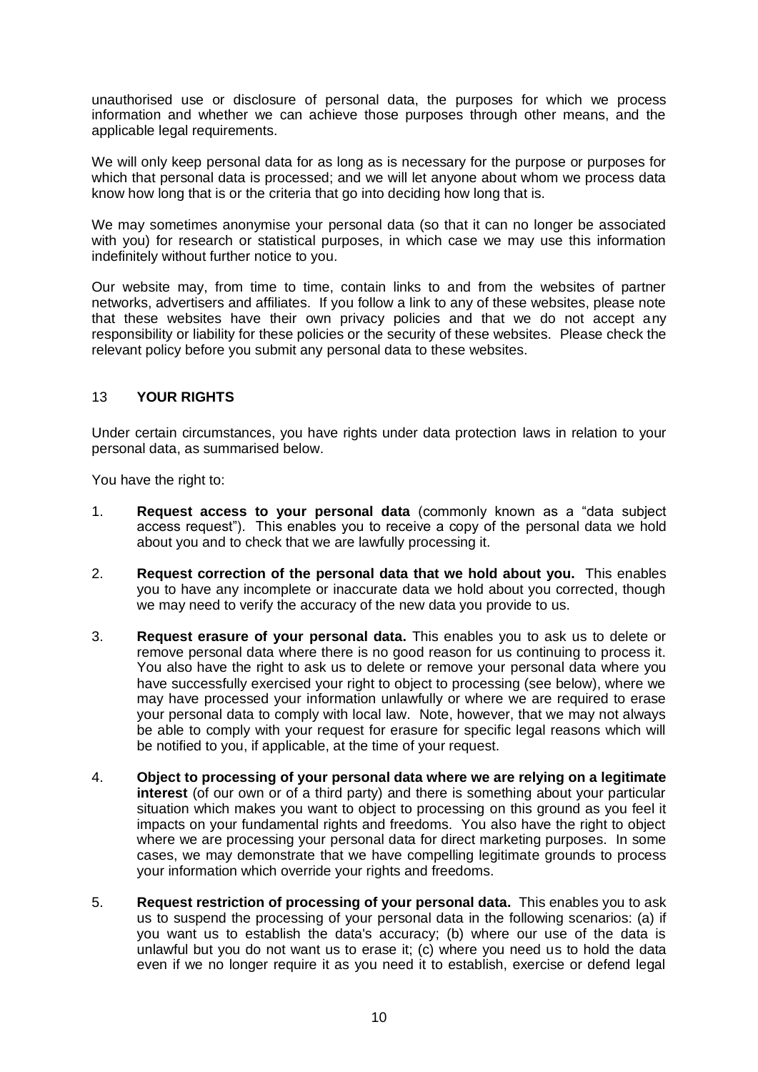unauthorised use or disclosure of personal data, the purposes for which we process information and whether we can achieve those purposes through other means, and the applicable legal requirements.

We will only keep personal data for as long as is necessary for the purpose or purposes for which that personal data is processed; and we will let anyone about whom we process data know how long that is or the criteria that go into deciding how long that is.

We may sometimes anonymise your personal data (so that it can no longer be associated with you) for research or statistical purposes, in which case we may use this information indefinitely without further notice to you.

Our website may, from time to time, contain links to and from the websites of partner networks, advertisers and affiliates. If you follow a link to any of these websites, please note that these websites have their own privacy policies and that we do not accept any responsibility or liability for these policies or the security of these websites. Please check the relevant policy before you submit any personal data to these websites.

# <span id="page-9-0"></span>13 **YOUR RIGHTS**

Under certain circumstances, you have rights under data protection laws in relation to your personal data, as summarised below.

You have the right to:

- 1. **Request access to your personal data** (commonly known as a "data subject access request"). This enables you to receive a copy of the personal data we hold about you and to check that we are lawfully processing it.
- 2. **Request correction of the personal data that we hold about you.** This enables you to have any incomplete or inaccurate data we hold about you corrected, though we may need to verify the accuracy of the new data you provide to us.
- 3. **Request erasure of your personal data.** This enables you to ask us to delete or remove personal data where there is no good reason for us continuing to process it. You also have the right to ask us to delete or remove your personal data where you have successfully exercised your right to object to processing (see below), where we may have processed your information unlawfully or where we are required to erase your personal data to comply with local law. Note, however, that we may not always be able to comply with your request for erasure for specific legal reasons which will be notified to you, if applicable, at the time of your request.
- 4. **Object to processing of your personal data where we are relying on a legitimate interest** (of our own or of a third party) and there is something about your particular situation which makes you want to object to processing on this ground as you feel it impacts on your fundamental rights and freedoms. You also have the right to object where we are processing your personal data for direct marketing purposes. In some cases, we may demonstrate that we have compelling legitimate grounds to process your information which override your rights and freedoms.
- 5. **Request restriction of processing of your personal data.** This enables you to ask us to suspend the processing of your personal data in the following scenarios: (a) if you want us to establish the data's accuracy; (b) where our use of the data is unlawful but you do not want us to erase it; (c) where you need us to hold the data even if we no longer require it as you need it to establish, exercise or defend legal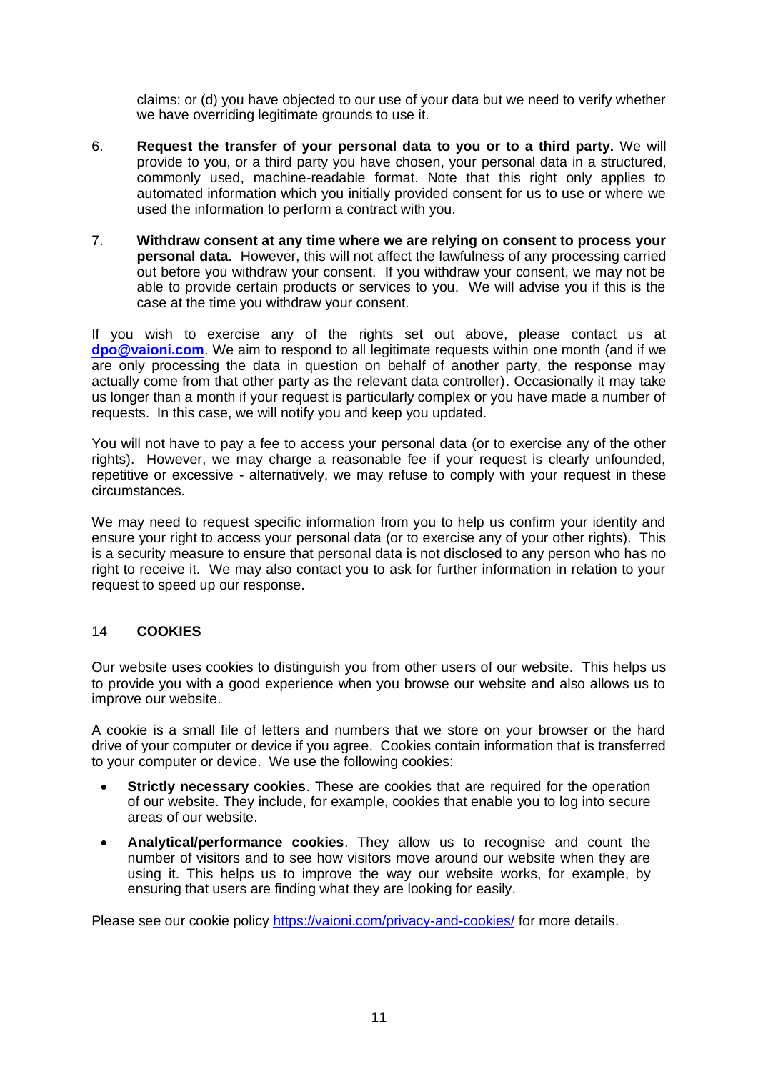claims; or (d) you have objected to our use of your data but we need to verify whether we have overriding legitimate grounds to use it.

- 6. **Request the transfer of your personal data to you or to a third party.** We will provide to you, or a third party you have chosen, your personal data in a structured, commonly used, machine-readable format. Note that this right only applies to automated information which you initially provided consent for us to use or where we used the information to perform a contract with you.
- 7. **Withdraw consent at any time where we are relying on consent to process your personal data.** However, this will not affect the lawfulness of any processing carried out before you withdraw your consent. If you withdraw your consent, we may not be able to provide certain products or services to you. We will advise you if this is the case at the time you withdraw your consent.

If you wish to exercise any of the rights set out above, please contact us at **[dpo@vaioni.com](mailto:dpo@vaioni.com)**. We aim to respond to all legitimate requests within one month (and if we are only processing the data in question on behalf of another party, the response may actually come from that other party as the relevant data controller). Occasionally it may take us longer than a month if your request is particularly complex or you have made a number of requests. In this case, we will notify you and keep you updated.

You will not have to pay a fee to access your personal data (or to exercise any of the other rights). However, we may charge a reasonable fee if your request is clearly unfounded, repetitive or excessive - alternatively, we may refuse to comply with your request in these circumstances.

We may need to request specific information from you to help us confirm your identity and ensure your right to access your personal data (or to exercise any of your other rights). This is a security measure to ensure that personal data is not disclosed to any person who has no right to receive it. We may also contact you to ask for further information in relation to your request to speed up our response.

# <span id="page-10-0"></span>14 **COOKIES**

Our website uses cookies to distinguish you from other users of our website. This helps us to provide you with a good experience when you browse our website and also allows us to improve our website.

A cookie is a small file of letters and numbers that we store on your browser or the hard drive of your computer or device if you agree. Cookies contain information that is transferred to your computer or device. We use the following cookies:

- **Strictly necessary cookies**. These are cookies that are required for the operation of our website. They include, for example, cookies that enable you to log into secure areas of our website.
- **Analytical/performance cookies**. They allow us to recognise and count the number of visitors and to see how visitors move around our website when they are using it. This helps us to improve the way our website works, for example, by ensuring that users are finding what they are looking for easily.

Please see our cookie policy<https://vaioni.com/privacy-and-cookies/> for more details.